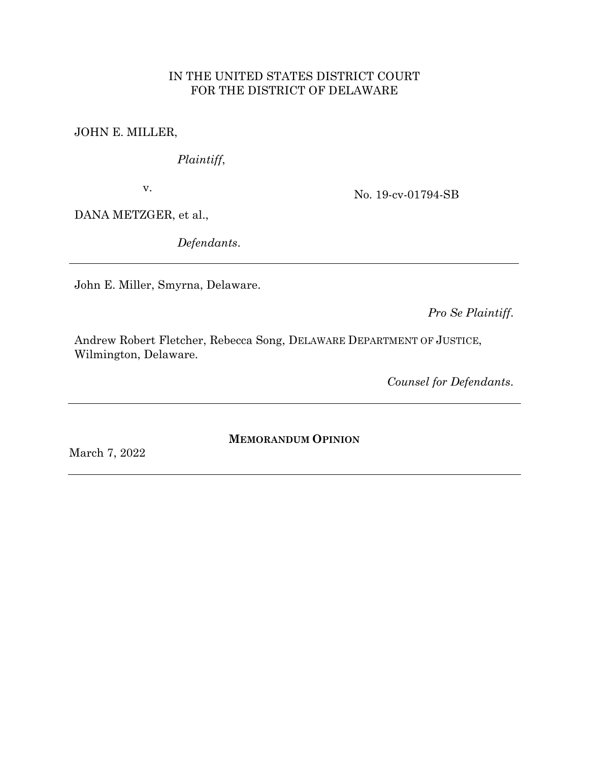# IN THE UNITED STATES DISTRICT COURT FOR THE DISTRICT OF DELAWARE

JOHN E. MILLER,

*Plaintiff*,

v.

No. 19-cv-01794-SB

DANA METZGER, et al.,

*Defendants*.

John E. Miller, Smyrna, Delaware.

*Pro Se Plaintiff*.

Andrew Robert Fletcher, Rebecca Song, DELAWARE DEPARTMENT OF JUSTICE, Wilmington, Delaware.

*Counsel for Defendants*.

**MEMORANDUM OPINION**

March 7, 2022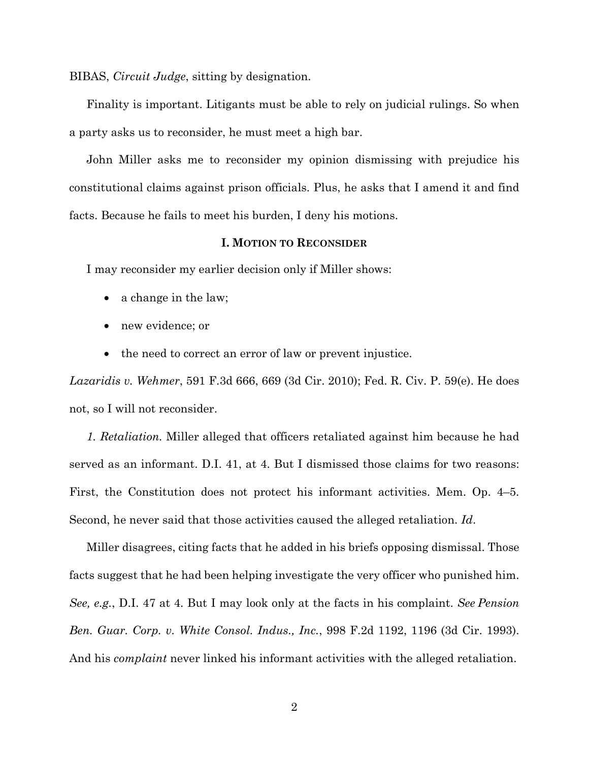BIBAS, *Circuit Judge*, sitting by designation.

Finality is important. Litigants must be able to rely on judicial rulings. So when a party asks us to reconsider, he must meet a high bar.

John Miller asks me to reconsider my opinion dismissing with prejudice his constitutional claims against prison officials. Plus, he asks that I amend it and find facts. Because he fails to meet his burden, I deny his motions.

### **I. MOTION TO RECONSIDER**

I may reconsider my earlier decision only if Miller shows:

- a change in the law;
- new evidence; or
- the need to correct an error of law or prevent injustice.

*Lazaridis v. Wehmer*, 591 F.3d 666, 669 (3d Cir. 2010); Fed. R. Civ. P. 59(e). He does not, so I will not reconsider.

*1. Retaliation.* Miller alleged that officers retaliated against him because he had served as an informant. D.I. 41, at 4. But I dismissed those claims for two reasons: First, the Constitution does not protect his informant activities. Mem. Op. 4–5. Second, he never said that those activities caused the alleged retaliation. *Id*.

Miller disagrees, citing facts that he added in his briefs opposing dismissal. Those facts suggest that he had been helping investigate the very officer who punished him. *See, e.g.*, D.I. 47 at 4. But I may look only at the facts in his complaint. *See Pension Ben. Guar. Corp. v. White Consol. Indus., Inc.*, 998 F.2d 1192, 1196 (3d Cir. 1993). And his *complaint* never linked his informant activities with the alleged retaliation.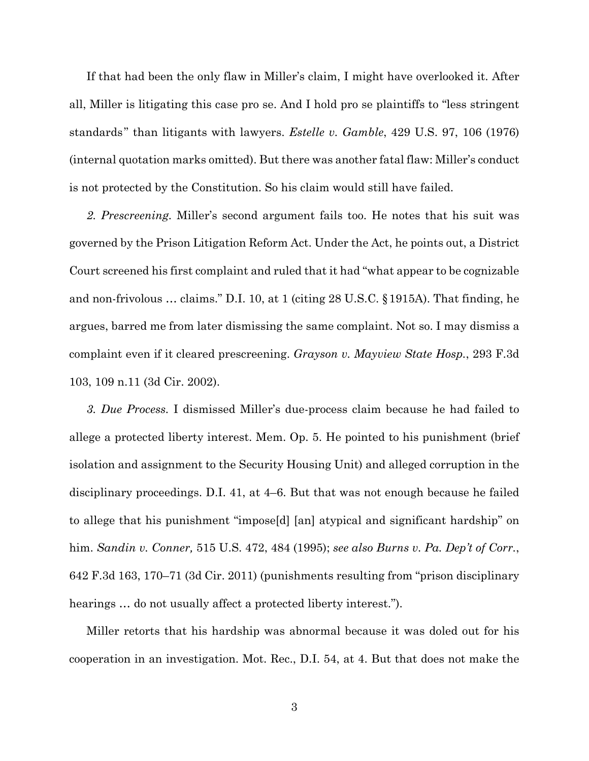If that had been the only flaw in Miller's claim, I might have overlooked it. After all, Miller is litigating this case pro se. And I hold pro se plaintiffs to "less stringent standards " than litigants with lawyers. *Estelle v. Gamble*, 429 U.S. 97, 106 (1976) (internal quotation marks omitted). But there was another fatal flaw: Miller's conduct is not protected by the Constitution. So his claim would still have failed.

*2. Prescreening.* Miller's second argument fails too. He notes that his suit was governed by the Prison Litigation Reform Act. Under the Act, he points out, a District Court screened his first complaint and ruled that it had "what appear to be cognizable and non-frivolous … claims." D.I. 10, at 1 (citing 28 U.S.C. §1915A). That finding, he argues, barred me from later dismissing the same complaint. Not so. I may dismiss a complaint even if it cleared prescreening. *Grayson v. Mayview State Hosp.*, 293 F.3d 103, 109 n.11 (3d Cir. 2002).

*3. Due Process.* I dismissed Miller's due-process claim because he had failed to allege a protected liberty interest. Mem. Op. 5. He pointed to his punishment (brief isolation and assignment to the Security Housing Unit) and alleged corruption in the disciplinary proceedings. D.I. 41, at 4–6. But that was not enough because he failed to allege that his punishment "impose[d] [an] atypical and significant hardship" on him. *Sandin v. Conner,* 515 U.S. 472, 484 (1995); *see also Burns v. Pa. Dep't of Corr.*, 642 F.3d 163, 170–71 (3d Cir. 2011) (punishments resulting from "prison disciplinary hearings ... do not usually affect a protected liberty interest.").

Miller retorts that his hardship was abnormal because it was doled out for his cooperation in an investigation. Mot. Rec., D.I. 54, at 4. But that does not make the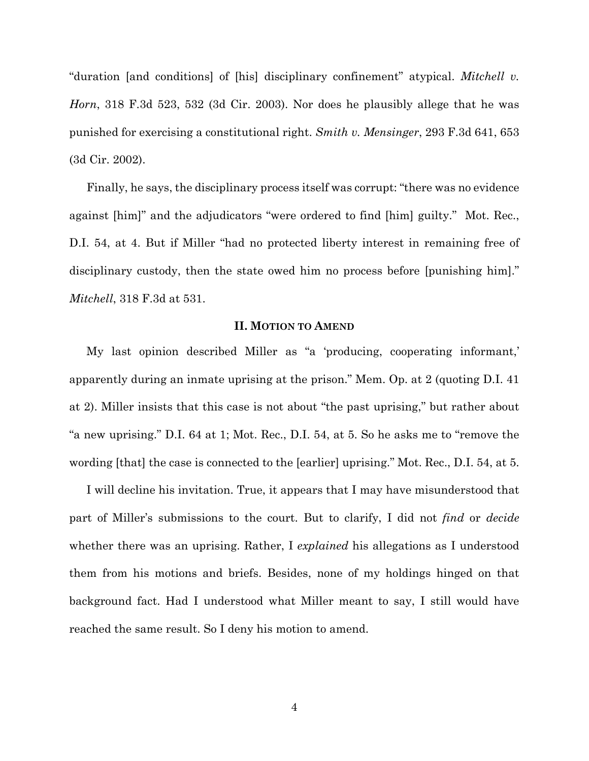"duration [and conditions] of [his] disciplinary confinement" atypical. *Mitchell v. Horn*, 318 F.3d 523, 532 (3d Cir. 2003). Nor does he plausibly allege that he was punished for exercising a constitutional right. *Smith v. Mensinger*, 293 F.3d 641, 653 (3d Cir. 2002).

Finally, he says, the disciplinary process itself was corrupt: "there was no evidence against [him]" and the adjudicators "were ordered to find [him] guilty." Mot. Rec., D.I. 54, at 4. But if Miller "had no protected liberty interest in remaining free of disciplinary custody, then the state owed him no process before [punishing him]." *Mitchell*, 318 F.3d at 531.

#### **II. MOTION TO AMEND**

My last opinion described Miller as "a 'producing, cooperating informant,' apparently during an inmate uprising at the prison." Mem. Op. at 2 (quoting D.I. 41 at 2). Miller insists that this case is not about "the past uprising," but rather about "a new uprising." D.I. 64 at 1; Mot. Rec., D.I. 54, at 5. So he asks me to "remove the wording [that] the case is connected to the [earlier] uprising." Mot. Rec., D.I. 54, at 5.

I will decline his invitation. True, it appears that I may have misunderstood that part of Miller's submissions to the court. But to clarify, I did not *find* or *decide* whether there was an uprising. Rather, I *explained* his allegations as I understood them from his motions and briefs. Besides, none of my holdings hinged on that background fact. Had I understood what Miller meant to say, I still would have reached the same result. So I deny his motion to amend.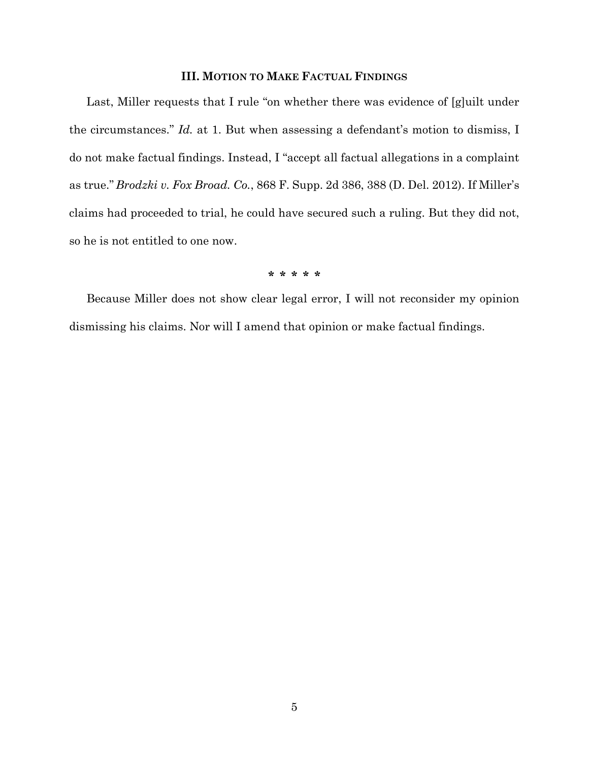### **III. MOTION TO MAKE FACTUAL FINDINGS**

Last, Miller requests that I rule "on whether there was evidence of [g]uilt under the circumstances." *Id.* at 1. But when assessing a defendant's motion to dismiss, I do not make factual findings. Instead, I "accept all factual allegations in a complaint as true." *Brodzki v. Fox Broad. Co.*, 868 F. Supp. 2d 386, 388 (D. Del. 2012). If Miller's claims had proceeded to trial, he could have secured such a ruling. But they did not, so he is not entitled to one now.

### **\* \* \* \* \***

Because Miller does not show clear legal error, I will not reconsider my opinion dismissing his claims. Nor will I amend that opinion or make factual findings.